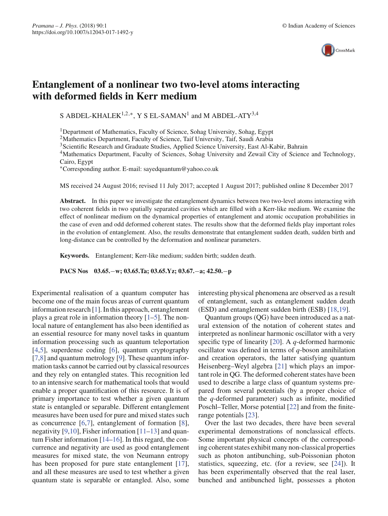

# **Entanglement of a nonlinear two two-level atoms interacting with deformed fields in Kerr medium**

S ABDEL-KHALEK<sup>1,2,∗</sup>, Y S EL-SAMAN<sup>1</sup> and M ABDEL-ATY<sup>3,4</sup>

<sup>1</sup>Department of Mathematics, Faculty of Science, Sohag University, Sohag, Egypt

<sup>2</sup>Mathematics Department, Faculty of Science, Taif University, Taif, Saudi Arabia

<sup>3</sup>Scientific Research and Graduate Studies, Applied Science University, East Al-Kabir, Bahrain

4Mathematics Department, Faculty of Sciences, Sohag University and Zewail City of Science and Technology, Cairo, Egypt

∗Corresponding author. E-mail: sayedquantum@yahoo.co.uk

MS received 24 August 2016; revised 11 July 2017; accepted 1 August 2017; published online 8 December 2017

Abstract. In this paper we investigate the entanglement dynamics between two two-level atoms interacting with two coherent fields in two spatially separated cavities which are filled with a Kerr-like medium. We examine the effect of nonlinear medium on the dynamical properties of entanglement and atomic occupation probabilities in the case of even and odd deformed coherent states. The results show that the deformed fields play important roles in the evolution of entanglement. Also, the results demonstrate that entanglement sudden death, sudden birth and long-distance can be controlled by the deformation and nonlinear parameters.

**Keywords.** Entanglement; Kerr-like medium; sudden birth; sudden death.

**PACS Nos 03.65.**−**w; 03.65.Ta; 03.65.Yz; 03.67.**−**a; 42.50.**−**p**

Experimental realisation of a quantum computer has become one of the main focus areas of current quantum information research [1]. In this approach, entanglement plays a great role in information theory  $[1-5]$ . The nonlocal nature of entanglement has also been identified as an essential resource for many novel tasks in quantum information processing such as quantum teleportation [4,5], superdense coding [6], quantum cryptography [7,8] and quantum metrology [9]. These quantum information tasks cannot be carried out by classical resources and they rely on entangled states. This recognition led to an intensive search for mathematical tools that would enable a proper quantification of this resource. It is of primary importance to test whether a given quantum state is entangled or separable. Different entanglement measures have been used for pure and mixed states such as concurrence [6,7], entanglement of formation [8], negativity [9,10], Fisher information  $[11–13]$  and quantum Fisher information [14–16]. In this regard, the concurrence and negativity are used as good entanglement measures for mixed state, the von Neumann entropy has been proposed for pure state entanglement [17], and all these measures are used to test whether a given quantum state is separable or entangled. Also, some

interesting physical phenomena are observed as a result of entanglement, such as entanglement sudden death (ESD) and entanglement sudden birth (ESB) [18,19].

Quantum groups (QG) have been introduced as a natural extension of the notation of coherent states and interpreted as nonlinear harmonic oscillator with a very specific type of linearity [20]. A *q*-deformed harmonic oscillator was defined in terms of *q*-boson annihilation and creation operators, the latter satisfying quantum Heisenberg–Weyl algebra [21] which plays an important role in QG. The deformed coherent states have been used to describe a large class of quantum systems prepared from several potentials (by a proper choice of the *q*-deformed parameter) such as infinite, modified Poschl–Teller, Morse potential [22] and from the finiterange potentials [23].

Over the last two decades, there have been several experimental demonstrations of nonclassical effects. Some important physical concepts of the corresponding coherent states exhibit many non-classical properties such as photon antibunching, sub-Poissonian photon statistics, squeezing, etc. (for a review, see [24]). It has been experimentally observed that the real laser, bunched and antibunched light, possesses a photon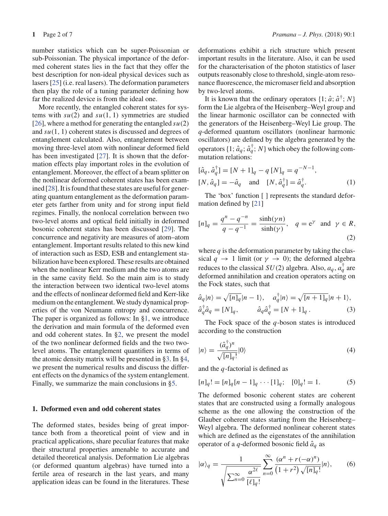number statistics which can be super-Poissonian or sub-Poissonian. The physical importance of the deformed coherent states lies in the fact that they offer the best description for non-ideal physical devices such as lasers [25] (i.e. real lasers). The deformation parameters then play the role of a tuning parameter defining how far the realized device is from the ideal one.

More recently, the entangled coherent states for systems with  $su(2)$  and  $su(1, 1)$  symmetries are studied [26], where a method for generating the entangled  $su(2)$ and *su*(1, 1) coherent states is discussed and degrees of entanglement calculated. Also, entanglement between moving three-level atom with nonlinear deformed field has been investigated [27]. It is shown that the deformation effects play important roles in the evolution of entanglement. Moreover, the effect of a beam splitter on the nonlinear deformed coherent states has been examined [28]. It is found that these states are useful for generating quantum entanglement as the deformation parameter gets farther from unity and for strong input field regimes. Finally, the nonlocal correlation between two two-level atoms and optical field initially in deformed bosonic coherent states has been discussed [29]. The concurrence and negativity are measures of atom–atom entanglement. Important results related to this new kind of interaction such as ESD, ESB and entanglement stabilization have been explored. These results are obtained when the nonlinear Kerr medium and the two atoms are in the same cavity field. So the main aim is to study the interaction between two identical two-level atoms and the effects of nonlinear deformed field and Kerr-like medium on the entanglement. We study dynamical properties of the von Neumann entropy and concurrence. The paper is organized as follows: In §1, we introduce the derivation and main formula of the deformed even and odd coherent states. In §2, we present the model of the two nonlinear deformed fields and the two twolevel atoms. The entanglement quantifiers in terms of the atomic density matrix will be presented in §3. In §4, we present the numerical results and discuss the different effects on the dynamics of the system entanglement. Finally, we summarize the main conclusions in §5.

## **1. Deformed even and odd coherent states**

The deformed states, besides being of great importance both from a theoretical point of view and in practical applications, share peculiar features that make their structural properties amenable to accurate and detailed theoretical analysis. Deformation Lie algebras (or deformed quantum algebras) have turned into a fertile area of research in the last years, and many application ideas can be found in the literatures. These deformations exhibit a rich structure which present important results in the literature. Also, it can be used for the characterisation of the photon statistics of laser outputs reasonably close to threshold, single-atom resonance fluorescence, the micromaser field and absorption by two-level atoms.

It is known that the ordinary operators  $\{1; \hat{a}; \hat{a}^{\dagger}; N\}$ form the Lie algebra of the Heisenberg–Weyl group and the linear harmonic oscillator can be connected with the generators of the Heisenberg–Weyl Lie group. The *q*-deformed quantum oscillators (nonlinear harmonic oscillators) are defined by the algebra generated by the operators  $\{1; \hat{a}_q; \hat{a}_q^{\dagger}; N\}$  which obey the following commutation relations:

$$
[\hat{a}_q, \hat{a}_q^{\dagger}] = [N+1]_q - q [N]_q = q^{-N-1},
$$
  
[N,  $\hat{a}_q$ ] =  $-\hat{a}_q$  and [N,  $\hat{a}_q^{\dagger}$ ] =  $\hat{a}_q^{\dagger}$ . (1)

The 'box' function [ ] represents the standard deformation defined by [21]

$$
[n]_q = \frac{q^n - q^{-n}}{q - q^{-1}} = \frac{\sinh(\gamma n)}{\sinh(\gamma)}, \quad q = e^{\gamma} \text{ and } \gamma \in R,
$$
\n(2)

where  $q$  is the deformation parameter by taking the classical  $q \rightarrow 1$  limit (or  $\gamma \rightarrow 0$ ); the deformed algebra reduces to the classical  $SU(2)$  algebra. Also,  $a_q$ ,  $a_q^{\dagger}$  are deformed annihilation and creation operators acting on the Fock states, such that

$$
\hat{a}_q|n\rangle = \sqrt{[n]_q}|n-1\rangle, \quad a_q^{\dagger}|n\rangle = \sqrt{[n+1]_q}|n+1\rangle, \n\hat{a}_q^{\dagger}\hat{a}_q = [N]_q, \qquad \hat{a}_q\hat{a}_q^{\dagger} = [N+1]_q.
$$
\n(3)

The Fock space of the *q*-boson states is introduced according to the construction

$$
|n\rangle = \frac{(\hat{a}_q^{\dagger})^n}{\sqrt{[n]_q}!}|0\rangle
$$
\n(4)

and the *q*-factorial is defined as

$$
[n]_q! = [n]_q [n-1]_q \cdots [1]_q; \quad [0]_q! = 1. \tag{5}
$$

The deformed bosonic coherent states are coherent states that are constructed using a formally analogous scheme as the one allowing the construction of the Glauber coherent states starting from the Heisenberg– Weyl algebra. The deformed nonlinear coherent states which are defined as the eigenstates of the annihilation operator of a *q*-deformed bosonic field  $\hat{a}_q$  as

$$
|\alpha\rangle_q = \frac{1}{\sqrt{\sum_{n=0}^{\infty} \frac{\alpha^{2\ell}}{[\ell]_q!}}} \sum_{n=0}^{\infty} \frac{(\alpha^n + r(-\alpha)^n)}{(1+r^2)\sqrt{[n]_q!}} |n\rangle, \qquad (6)
$$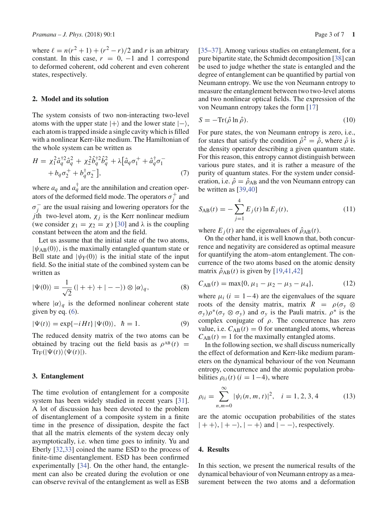where  $\ell = n(r^2 + 1) + (r^2 - r)/2$  and *r* is an arbitrary constant. In this case,  $r = 0, -1$  and 1 correspond to deformed coherent, odd coherent and even coherent states, respectively.

## **2. Model and its solution**

The system consists of two non-interacting two-level atoms with the upper state  $|+\rangle$  and the lower state  $|-\rangle$ , each atom is trapped inside a single cavity which is filled with a nonlinear Kerr-like medium. The Hamiltonian of the whole system can be written as

$$
H = \chi_1^2 \hat{a}_q^{\dagger 2} \hat{a}_q^2 + \chi_2^2 \hat{b}_q^{\dagger 2} \hat{b}_q^2 + \lambda \left[ \hat{a}_q \sigma_1^+ + \hat{a}_q^{\dagger} \sigma_1^- + b_q \sigma_2^+ + b_q^{\dagger} \sigma_2^- \right],
$$
\n(7)

where  $a_q$  and  $a_q^{\dagger}$  are the annihilation and creation operators of the deformed field mode. The operators  $\sigma_j^+$  and  $\sigma_j^-$  are the usual raising and lowering operators for the *j*th two-level atom,  $\chi_j$  is the Kerr nonlinear medium (we consider  $\chi_1 = \chi_2 = \chi$ ) [30] and  $\lambda$  is the coupling constant between the atom and the field.

Let us assume that the initial state of the two atoms,  $|\psi_{AB}(0)\rangle$ , is the maximally entangled quantum state or Bell state and  $|\psi_F(0)\rangle$  is the initial state of the input field. So the initial state of the combined system can be written as

$$
|\Psi(0)\rangle = \frac{1}{\sqrt{2}} (|++\rangle + |--\rangle) \otimes |\alpha\rangle_q, \tag{8}
$$

where  $|\alpha\rangle_q$  is the deformed nonlinear coherent state given by eq.  $(6)$ .

$$
|\Psi(t)\rangle = \exp\{-iHt\}|\Psi(0)\rangle, \quad \hbar = 1. \tag{9}
$$

The reduced density matrix of the two atoms can be obtained by tracing out the field basis as  $\rho^{AB}(t)$  =  $\text{Tr}_{\text{F}}(|\Psi(t)\rangle\langle\Psi(t)|).$ 

## **3. Entanglement**

The time evolution of entanglement for a composite system has been widely studied in recent years [31]. A lot of discussion has been devoted to the problem of disentanglement of a composite system in a finite time in the presence of dissipation, despite the fact that all the matrix elements of the system decay only asymptotically, i.e. when time goes to infinity. Yu and Eberly [32,33] coined the name ESD to the process of finite-time disentanglement. ESD has been confirmed experimentally [34]. On the other hand, the entanglement can also be created during the evolution or one can observe revival of the entanglement as well as ESB

[35–37]. Among various studies on entanglement, for a pure bipartite state, the Schmidt decomposition [38] can be used to judge whether the state is entangled and the degree of entanglement can be quantified by partial von Neumann entropy. We use the von Neumann entropy to measure the entanglement between two two-level atoms and two nonlinear optical fields. The expression of the von Neumann entropy takes the form [17]

$$
S = -\text{Tr}(\hat{\rho} \ln \hat{\rho}).\tag{10}
$$

For pure states, the von Neumann entropy is zero, i.e., for states that satisfy the condition  $\hat{\rho}^2 = \hat{\rho}$ , where  $\hat{\rho}$  is the density operator describing a given quantum state. For this reason, this entropy cannot distinguish between various pure states, and it is rather a measure of the purity of quantum states. For the system under consideration, i.e.  $\hat{\rho} = \hat{\rho}_{AB}$  and the von Neumann entropy can be written as [39,40]

$$
S_{AB}(t) = -\sum_{j=1}^{4} E_j(t) \ln E_j(t),
$$
\n(11)

where  $E_j(t)$  are the eigenvalues of  $\hat{\rho}_{AB}(t)$ .

On the other hand, it is well known that, both concurrence and negativity are considered as optimal measure for quantifying the atom–atom entanglement. The concurrence of the two atoms based on the atomic density matrix  $\hat{\rho}_{AB}(t)$  is given by [19,41,42]

$$
C_{AB}(t) = \max\{0, \mu_1 - \mu_2 - \mu_3 - \mu_4\},\tag{12}
$$

where  $\mu_i$  ( $i = 1-4$ ) are the eigenvalues of the square roots of the density matrix, matrix  $R = \rho(\sigma_v \otimes$ σ*<sup>y</sup>* )ρ∗(σ*<sup>y</sup>* ⊗ σ*<sup>y</sup>* ) and σ*<sup>y</sup>* is the Pauli matrix. ρ<sup>∗</sup> is the complex conjugate of  $\rho$ . The concurrence has zero value, i.e.  $C_{AB}(t) = 0$  for unentangled atoms, whereas  $C_{AB}(t) = 1$  for the maximally entangled atoms.

In the following section, we shall discuss numerically the effect of deformation and Kerr-like medium parameters on the dynamical behaviour of the von Neumann entropy, concurrence and the atomic population probabilities  $\rho_{ii}(t)$  ( $i = 1-4$ ), where

$$
\rho_{ii} = \sum_{n,m=0}^{\infty} |\psi_i(n,m,t)|^2, \quad i = 1, 2, 3, 4 \tag{13}
$$

are the atomic occupation probabilities of the states  $| + + \rangle$ ,  $| + - \rangle$ ,  $| - + \rangle$  and  $| - - \rangle$ , respectively.

## **4. Results**

In this section, we present the numerical results of the dynamical behaviour of von Neumann entropy as a measurement between the two atoms and a deformation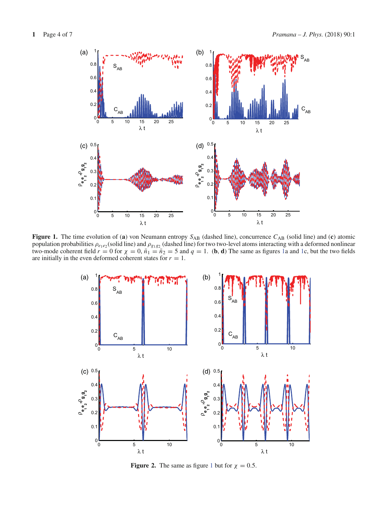

**Figure 1.** The time evolution of (**a**) von Neumann entropy *S*AB (dashed line), concurrence *C*AB (solid line) and (**c**) atomic population probabilities  $\rho_{e_1e_2}$ (solid line) and  $\rho_{g_1g_2}$  (dashed line) for two two-level atoms interacting with a deformed nonlinear two-mode coherent field  $r = 0$  for  $\chi = 0$ ,  $\bar{n}_1 = \bar{n}_2 = 5$  and  $q = 1$ . (**b**, **d**) The same as figures 1a and 1c, but the two fields are initially in the even deformed coherent states for  $r = 1$ .



**Figure 2.** The same as figure 1 but for  $\chi = 0.5$ .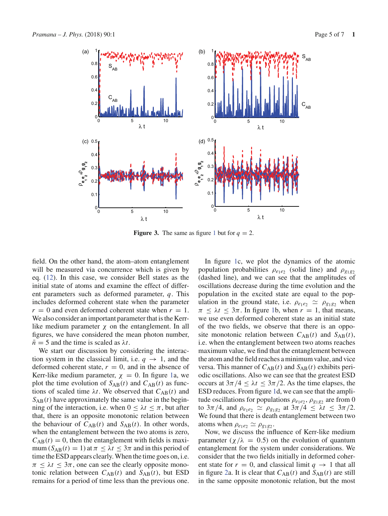

**Figure 3.** The same as figure 1 but for  $q = 2$ .

field. On the other hand, the atom–atom entanglement will be measured via concurrence which is given by eq. (12). In this case, we consider Bell states as the initial state of atoms and examine the effect of different parameters such as deformed parameter, *q*. This includes deformed coherent state when the parameter  $r = 0$  and even deformed coherent state when  $r = 1$ . We also consider an important parameter that is the Kerrlike medium parameter  $\chi$  on the entanglement. In all figures, we have considered the mean photon number,  $\bar{n}$  = 5 and the time is scaled as  $\lambda t$ .

We start our discussion by considering the interaction system in the classical limit, i.e.  $q \rightarrow 1$ , and the deformed coherent state,  $r = 0$ , and in the absence of Kerr-like medium parameter,  $\chi = 0$ . In figure 1a, we plot the time evolution of  $S_{AB}(t)$  and  $C_{AB}(t)$  as functions of scaled time  $\lambda t$ . We observed that  $C_{AB}(t)$  and  $S_{AB}(t)$  have approximately the same value in the beginning of the interaction, i.e. when  $0 \leq \lambda t \leq \pi$ , but after that, there is an opposite monotonic relation between the behaviour of  $C_{AB}(t)$  and  $S_{AB}(t)$ . In other words, when the entanglement between the two atoms is zero,  $C_{AB}(t) = 0$ , then the entanglement with fields is maximum  $(S_{AB}(t) = 1)$  at  $\pi \leq \lambda t \leq 3\pi$  and in this period of time the ESD appears clearly. When the time goes on, i.e.  $\pi \leq \lambda t \leq 3\pi$ , one can see the clearly opposite monotonic relation between  $C_{AB}(t)$  and  $S_{AB}(t)$ , but ESD remains for a period of time less than the previous one.

In figure 1c, we plot the dynamics of the atomic population probabilities  $\rho_{e_1e_2}$  (solid line) and  $\rho_{g_1g_2}$ (dashed line), and we can see that the amplitudes of oscillations decrease during the time evolution and the population in the excited state are equal to the population in the ground state, i.e.  $\rho_{e_1e_2} \simeq \rho_{g_1g_2}$  when  $\pi < \lambda t < 3\pi$ . In figure 1b, when  $r = 1$ , that means, we use even deformed coherent state as an initial state of the two fields, we observe that there is an opposite monotonic relation between  $C_{AB}(t)$  and  $S_{AB}(t)$ , i.e. when the entanglement between two atoms reaches maximum value, we find that the entanglement between the atom and the field reaches a minimum value, and vice versa. This manner of  $C_{AB}(t)$  and  $S_{AB}(t)$  exhibits periodic oscillations. Also we can see that the greatest ESD occurs at  $3\pi/4 \leq \lambda t \leq 3\pi/2$ . As the time elapses, the ESD reduces. From figure 1d, we can see that the amplitude oscillations for populations  $\rho_{e_1e_2}, \rho_{g_1g_2}$  are from 0 to  $3\pi/4$ , and  $\rho_{e_1e_2} \simeq \rho_{g_1g_2}$  at  $3\pi/4 \leq \lambda t \leq 3\pi/2$ . We found that there is death entanglement between two atoms when  $\rho_{e_1e_2} \simeq \rho_{g_1g_2}$ .

Now, we discuss the influence of Kerr-like medium parameter  $(\chi/\lambda = 0.5)$  on the evolution of quantum entanglement for the system under considerations. We consider that the two fields initially in deformed coherent state for  $r = 0$ , and classical limit  $q \to 1$  that all in figure 2a. It is clear that  $C_{AB}(t)$  and  $S_{AB}(t)$  are still in the same opposite monotonic relation, but the most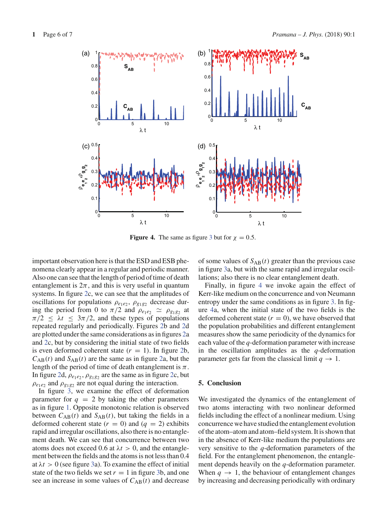

**Figure 4.** The same as figure 3 but for  $\chi = 0.5$ .

important observation here is that the ESD and ESB phenomena clearly appear in a regular and periodic manner. Also one can see that the length of period of time of death entanglement is  $2\pi$ , and this is very useful in quantum systems. In figure 2c, we can see that the amplitudes of oscillations for populations  $\rho_{e_1e_2}, \rho_{g_1g_2}$  decrease during the period from 0 to  $\pi/2$  and  $\rho_{e_1e_2} \simeq \rho_{g_1g_2}$  at  $\pi/2 \leq \lambda t \leq 3\pi/2$ , and these types of populations repeated regularly and periodically. Figures 2b and 2d are plotted under the same considerations as in figures 2a and 2c, but by considering the initial state of two fields is even deformed coherent state  $(r = 1)$ . In figure 2b,  $C_{AB}(t)$  and  $S_{AB}(t)$  are the same as in figure 2a, but the length of the period of time of death entanglement is  $\pi$ . In figure 2d,  $\rho_{e_1e_2}$ ,  $\rho_{g_1g_2}$  are the same as in figure 2c, but  $\rho_{e_1e_2}$  and  $\rho_{g_1g_2}$  are not equal during the interaction.

In figure 3, we examine the effect of deformation parameter for  $q = 2$  by taking the other parameters as in figure 1. Opposite monotonic relation is observed between  $C_{AB}(t)$  and  $S_{AB}(t)$ , but taking the fields in a deformed coherent state  $(r = 0)$  and  $(q = 2)$  exhibits rapid and irregular oscillations, also there is no entanglement death. We can see that concurrence between two atoms does not exceed 0.6 at  $\lambda t > 0$ , and the entanglement between the fields and the atoms is not less than 0.4 at  $\lambda t > 0$  (see figure 3a). To examine the effect of initial state of the two fields we set  $r = 1$  in figure 3b, and one see an increase in some values of  $C_{AB}(t)$  and decrease

of some values of  $S_{AB}(t)$  greater than the previous case in figure 3a, but with the same rapid and irregular oscillations; also there is no clear entanglement death.

Finally, in figure 4 we invoke again the effect of Kerr-like medium on the concurrence and von Neumann entropy under the same conditions as in figure 3. In figure 4a, when the initial state of the two fields is the deformed coherent state  $(r = 0)$ , we have observed that the population probabilities and different entanglement measures show the same periodicity of the dynamics for each value of the *q*-deformation parameter with increase in the oscillation amplitudes as the *q*-deformation parameter gets far from the classical limit  $q \to 1$ .

#### **5. Conclusion**

We investigated the dynamics of the entanglement of two atoms interacting with two nonlinear deformed fields including the effect of a nonlinear medium. Using concurrence we have studied the entanglement evolution of the atom–atom and atom–field system. It is shown that in the absence of Kerr-like medium the populations are very sensitive to the *q*-deformation parameters of the field. For the entanglement phenomenon, the entanglement depends heavily on the *q*-deformation parameter. When  $q \rightarrow 1$ , the behaviour of entanglement changes by increasing and decreasing periodically with ordinary